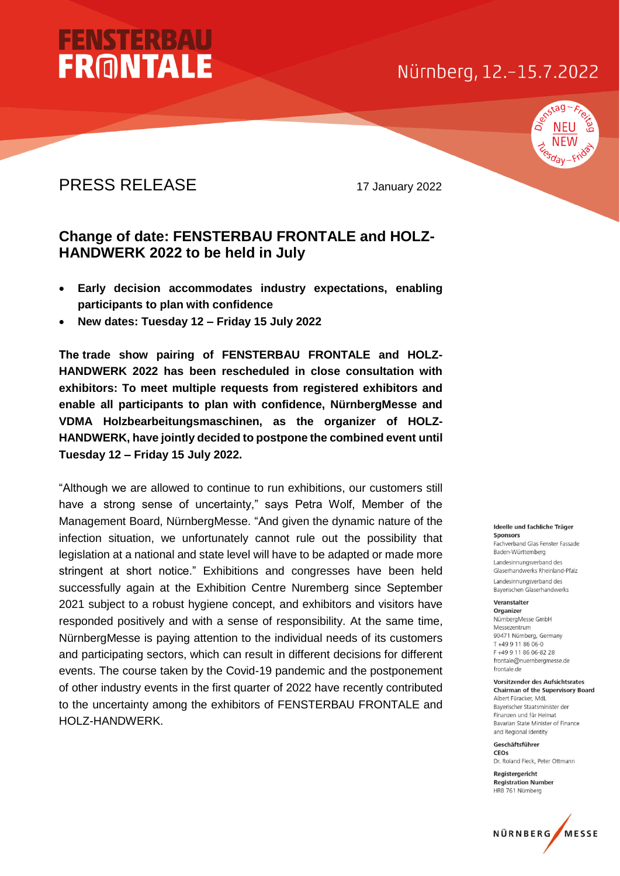## Nürnberg, 12.-15.7.2022



## PRESS RELEASE 17 January 2022

**FENSTERBA** 

**FRONTALE** 

## **Change of date: FENSTERBAU FRONTALE and HOLZ-HANDWERK 2022 to be held in July**

- **Early decision accommodates industry expectations, enabling participants to plan with confidence**
- **New dates: Tuesday 12 – Friday 15 July 2022**

The trade show pairing of FENSTERBAU FRONTALE and HOLZ-**HANDWERK 2022 has been rescheduled in close consultation with exhibitors: To meet multiple requests from registered exhibitors and enable all participants to plan with confidence, NürnbergMesse and VDMA Holzbearbeitungsmaschinen, as the organizer of HOLZ-HANDWERK, have jointly decided to postpone the combined event until Tuesday 12 – Friday 15 July 2022.**

"Although we are allowed to continue to run exhibitions, our customers still have a strong sense of uncertainty," says Petra Wolf, Member of the Management Board, NürnbergMesse. "And given the dynamic nature of the infection situation, we unfortunately cannot rule out the possibility that legislation at a national and state level will have to be adapted or made more stringent at short notice." Exhibitions and congresses have been held successfully again at the Exhibition Centre Nuremberg since September 2021 subject to a robust hygiene concept, and exhibitors and visitors have responded positively and with a sense of responsibility. At the same time, NürnbergMesse is paying attention to the individual needs of its customers and participating sectors, which can result in different decisions for different events. The course taken by the Covid-19 pandemic and the postponement of other industry events in the first quarter of 2022 have recently contributed to the uncertainty among the exhibitors of FENSTERBAU FRONTALE and HOLZ-HANDWERK.

#### Ideelle und fachliche Träger **Sponsors**

Fachverband Glas Fenster Fassade Baden-Württemberg Landesinnungsverband des Glaserhandwerks Rheinland-Pfalz Landesinnungsverband des Bayerischen Glaserhandwerks

#### Veranstalter Organizer

NürnbergMesse GmbH Messezentrum 90471 Nürnberg, Germany T+49 9 11 86 06-0 F+49 9 11 86 06-82 28 frontale@nuernbergmesse.de frontale.de

#### Vorsitzender des Aufsichtsrates **Chairman of the Supervisory Board**

Albert Füracker, MdL Baverischer Staatsminister der Finanzen und für Heimat Bavarian State Minister of Finance and Regional Identity

Geschäftsführer CEOs

Dr. Roland Fleck, Peter Ottmann Registergericht

**Registration Number** HRB 761 Nürnberg